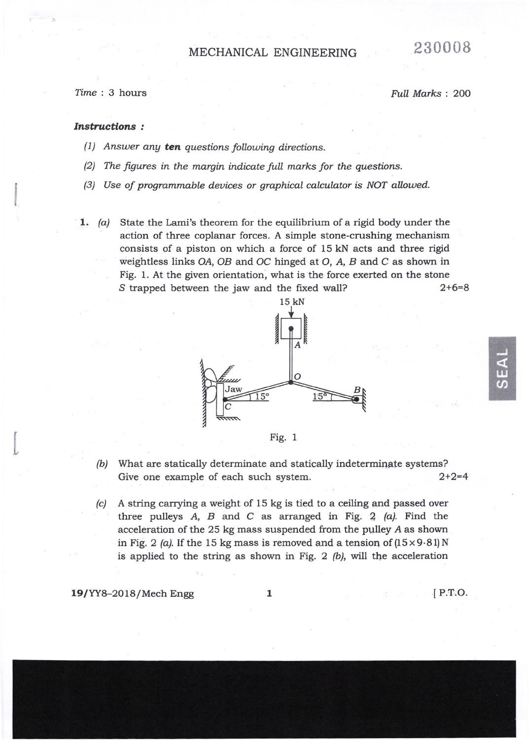## MECHANICAL ENGINEERING

Time : 3 hours Full Marks : 200

230008

## Instructions:

- (1) Answer any ten questions following directions.
- $(2)$  The figures in the margin indicate full marks for the questions.
- $(3)$  Use of programmable devices or graphical calculator is NOT allowed.
- **1.** (a) State the Lami's theorem for the equilibrium of a rigid body under the action of three coplanar forces. A simple stone-crushing mechanism consists of a piston on which a force of 15 kN acts and three rigid weightless links OA, OB and OC hinged at O, A, B and C as shown in Fig, 1, At the given orientation, what is the force exerted on the stone S trapped between the jaw and the fixed wall? 2+6=8





- (b) What are statically determinate and statically indeterminate systems? Give one example of each such system. 2+2=4
- $k$ ) A string carrying a weight of 15 kg is tied to a ceiling and passed over three pulleys  $A$ ,  $B$  and  $C$  as arranged in Fig. 2  $(a)$ . Find the acceleration of the 25 kg mass suspended from the pulley A as shown in Fig. 2 (a). If the 15 kg mass is removed and a tension of  $(15 \times 9.81)$  N is applied to the string as shown in Fig. 2  $(b)$ , will the acceleration

19/YY8-2018/Mech Engg 1 lP.T.O.

t.

**IJJ**  $\boldsymbol{\omega}$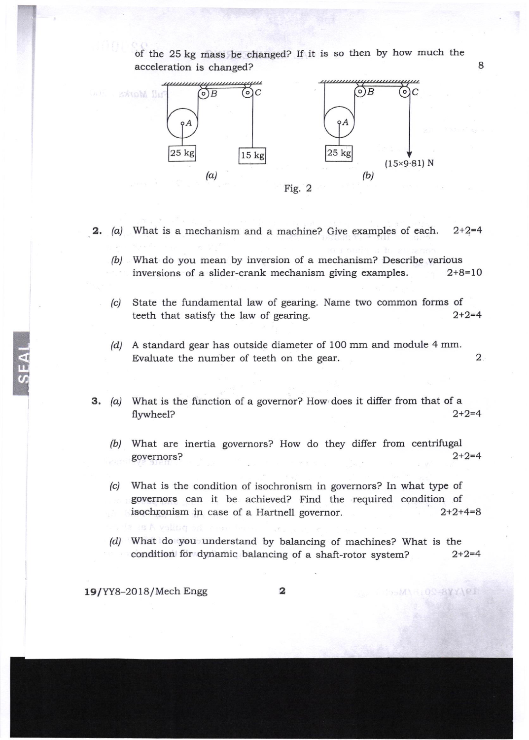

of the 25 kg mass be changed? If it is so then by how much the acceleration is changed?

8

OC BYYICE

 $1 - M$ 

- **2.** (a) What is a mechanism and a machine? Give examples of each.  $2+2=4$ 
	- (b) What do you mean by inversion of a mechanism? Describe various inversions of a slider-crank mechanism giving examples. 2+8=10
	- (c) State the fundamental law of gearing. Name two common forms of teeth that satisfy the law of gearing.  $2+2=4$
	- /d/ A standard gear has outside diameter of 100 mm and module 4 mm Evaluate the number of teeth on the gear. 2
- **3.** (a) What is the function of a governor? How does it differ from that of a flywheel?  $2+2=4$ 
	- (b) What are inertia governors? How do they differ from centrifugal governors?  $2+2=4$ governors?  $2+2=4$
	- (c) What is the condition of isochronism in governors? In what type of governors can it be achieved? Find the required condition of isochronism in case of a Hartnell governor. 2+2+4=8
	- (d) What do you understand by balancing of machines? What is the condition for dynamic balancing of a shaft-rotor system? 2+2=4

19|YY8-2O18 /Mech Engg

 $\frac{1}{2}$ 

2